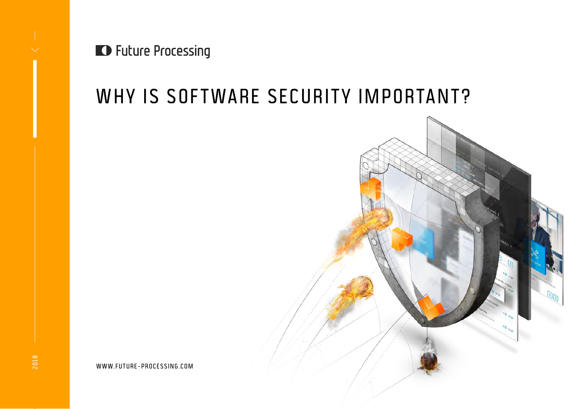**D** Future Processing

# WHY IS SOFTWARE SECURITY IMPORTANT?



WWW.FUTURE-PROCESSING.COM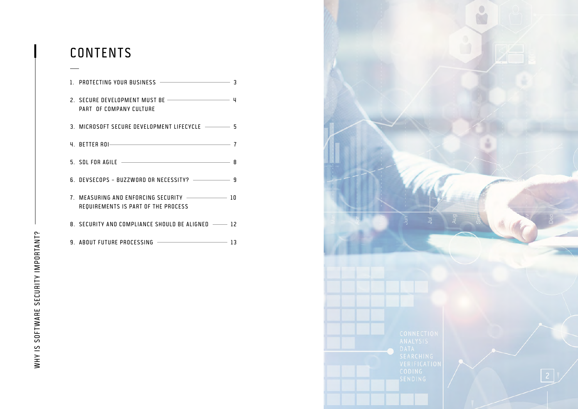## CONTENTS

| PART OF COMPANY CULTURE                                                         |  |
|---------------------------------------------------------------------------------|--|
| 3. MICROSOFT SECURE DEVELOPMENT LIFECYCLE - 5                                   |  |
| 4. BETTER ROI- 7                                                                |  |
|                                                                                 |  |
| 6. DEVSECOPS - BUZZWORD OR NECESSITY? --------------- 9                         |  |
| 7. MEASURING AND ENFORCING SECURITY - 10<br>REQUIREMENTS IS PART OF THE PROCESS |  |
| 8. SECURITY AND COMPLIANCE SHOULD BE ALIGNED -- 12                              |  |
| 9. ABOUT FUTURE PROCESSING - 23                                                 |  |

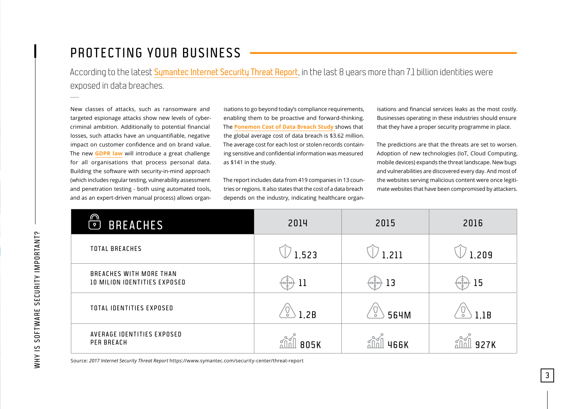## <span id="page-2-0"></span>PROTECTING YOUR BUSINESS

According to the latest [Symantec Internet Security Threat Report](https://www.symantec.com/security-center/threat-report), in the last 8 years more than 7.1 billion identities were exposed in data breaches.

New classes of attacks, such as ransomware and targeted espionage attacks show new levels of cybercriminal ambition. Additionally to potential financial losses, such attacks have an unquantifiable, negative impact on customer confidence and on brand value. The new **[GDPR law](https://www.eugdpr.org/)** will introduce a great challenge for all organisations that process personal data. Building the software with security-in-mind approach (which includes regular testing, vulnerability assessment and penetration testing - both using automated tools, and as an expert-driven manual process) allows organ-

isations to go beyond today's compliance requirements, enabling them to be proactive and forward-thinking. The **[Ponemon Cost of Data Breach Study](https://www.ponemon.org/library/2017-cost-of-data-breach-study-united-states)** shows that the global average cost of data breach is \$3.62 million. The average cost for each lost or stolen records containing sensitive and confidential information was measured as \$141 in the study.

The report includes data from 419 companies in 13 countries or regions. It also states that the cost of a data breach depends on the industry, indicating healthcare organisations and financial services leaks as the most costly. Businesses operating in these industries should ensure that they have a proper security programme in place.

The predictions are that the threats are set to worsen. Adoption of new technologies (IoT, Cloud Computing, mobile devices) expands the threat landscape. New bugs and vulnerabilities are discovered every day. And most of the websites serving malicious content were once legitimate websites that have been compromised by attackers.

3

| ⋒<br><b>BREACHES</b><br>$\mathsf{P}$                    | 2014      | 2015                                 | 2016  |
|---------------------------------------------------------|-----------|--------------------------------------|-------|
| TOTAL BREACHES                                          | 1,523     | 1,211                                | 1,209 |
| BREACHES WITH MORE THAN<br>10 MILION IDENTITIES EXPOSED | 11        | 13<br>$\left\{ \frac{1}{2} \right\}$ | 15    |
| TOTAL IDENTITIES EXPOSED                                | ŏ<br>1,2B | ŏ<br>564M                            | 1,1B  |
| AVERAGE IDENTITIES EXPOSED<br>PER BREACH                | 805K      | <b>466K</b>                          | 927K  |

Source: *2017 Internet Security Threat Report* https://www.symantec.com/security-center/threat-report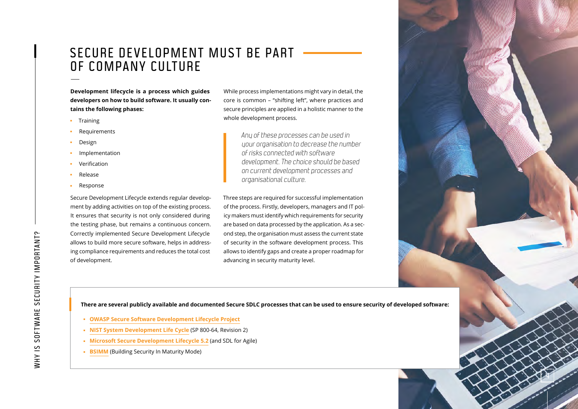## <span id="page-3-0"></span>SECURE DEVELOPMENT MUST BE PART OF COMPANY CULTURE

**Development lifecycle is a process which guides developers on how to build software. It usually con tains the following phases:**

- **u** Training
- Requirements
- Design
- u Implementation
- Verification
- **Release**
- Response

Secure Development Lifecycle extends regular develop ment by adding activities on top of the existing process. It ensures that security is not only considered during the testing phase, but remains a continuous concern. Correctly implemented Secure Development Lifecycle allows to build more secure software, helps in address ing compliance requirements and reduces the total cost of development.

While process implementations might vary in detail, the core is common – "shifting left", where practices and secure principles are applied in a holistic manner to the whole development process.

> Any of these processes can be used in your organisation to decrease the number of risks connected with software development. The choice should be based on current development processes and organisational culture.

Three steps are required for successful implementation of the process. Firstly, developers, managers and IT pol icy makers must identify which requirements for security are based on data processed by the application. As a sec ond step, the organisation must assess the current state of security in the software development process. This allows to identify gaps and create a proper roadmap for advancing in security maturity level.

**q** 

There are several publicly available and documented Secure SDLC processes that can be used to ensure security of developed software:<br>
• [OWASP Secure Software Development Lifecycle Project](https://www.owasp.org/index.php/OWASP_Secure_Software_Development_Lifecycle_Project)<br>
• NIST System Development Lifecyc

- 
- 
- 
-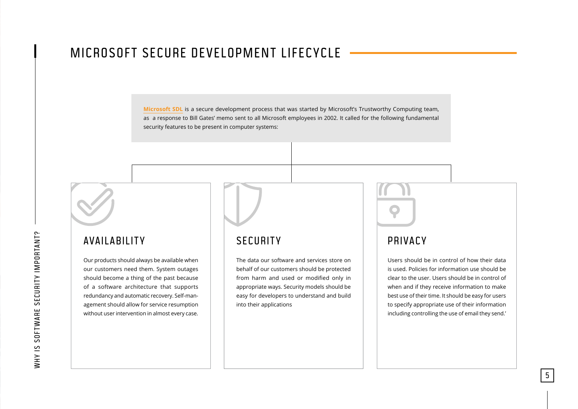## <span id="page-4-0"></span>MICROSOFT SECURE DEVELOPMENT LIFECYCLE

**Microsoft SDL** is a secure development process that was started by Microsoft's Trustworthy Computing team, as a response to Bill Gates' memo sent to all Microsoft employees in 2002. It called for the following fundamental security features to be present in computer systems:

### AVAILABILITY

Our products should always be available when our customers need them. System outages should become a thing of the past because of a software architecture that supports redundancy and automatic recovery. Self-management should allow for service resumption without user intervention in almost every case.

### **SECURITY**

The data our software and services store on behalf of our customers should be protected from harm and used or modified only in appropriate ways. Security models should be easy for developers to understand and build into their applications



### **PRIVACY**

Users should be in control of how their data is used. Policies for information use should be clear to the user. Users should be in control of when and if they receive information to make best use of their time. It should be easy for users to specify appropriate use of their information including controlling the use of email they send.'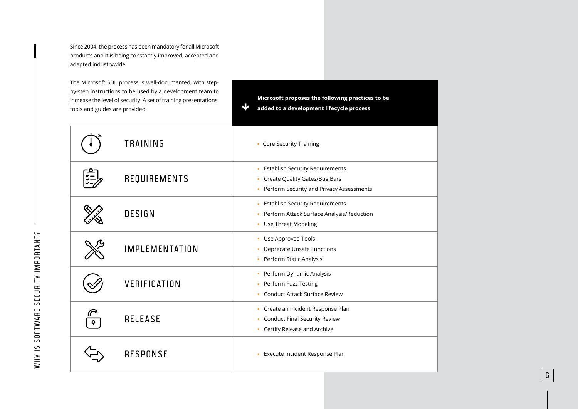Since 2004, the process has been mandatory for all Microsoft products and it is being constantly improved, accepted and adapted industrywide.

The Microsoft SDL process is well-documented, with stepby-step instructions to be used by a development team to increase the level of security. A set of training presentations, tools and guides are provided.

**Microsoft proposes the following practices to be added to a development lifecycle process**

6

|           | <b>TRAINING</b>       | • Core Security Training                                                                                                               |
|-----------|-----------------------|----------------------------------------------------------------------------------------------------------------------------------------|
| 고요-<br>*二 | REQUIREMENTS          | <b>Establish Security Requirements</b><br>٠<br><b>Create Quality Gates/Bug Bars</b><br>٠<br>• Perform Security and Privacy Assessments |
|           | <b>DESIGN</b>         | <b>Establish Security Requirements</b><br>a,<br>Perform Attack Surface Analysis/Reduction<br>٠<br><b>Use Threat Modeling</b><br>٠      |
|           | <b>IMPLEMENTATION</b> | Use Approved Tools<br>٠<br><b>Deprecate Unsafe Functions</b><br>٠<br>Perform Static Analysis<br>٠                                      |
|           | VERIFICATION          | Perform Dynamic Analysis<br>٠<br>Perform Fuzz Testing<br>٠<br><b>Conduct Attack Surface Review</b><br>×.                               |
|           | <b>RELEASE</b>        | Create an Incident Response Plan<br>٠<br><b>Conduct Final Security Review</b><br>٠<br>• Certify Release and Archive                    |
|           | <b>RESPONSE</b>       | Execute Incident Response Plan<br>u,                                                                                                   |

 $\overline{\mathbf{v}}$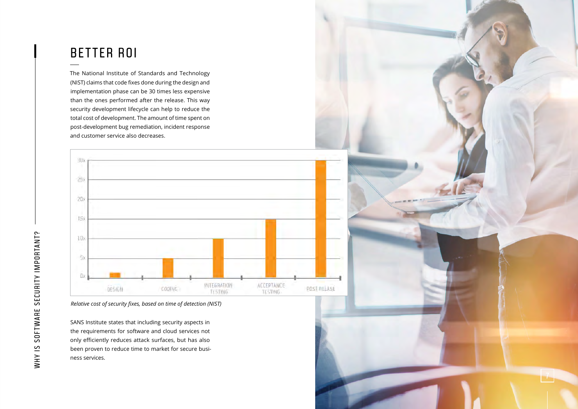## <span id="page-6-0"></span>BETTER ROI

The National Institute of Standards and Technology (NIST) claims that code fixes done during the design and implementation phase can be 30 times less expensive than the ones performed after the release. This way security development lifecycle can help to reduce the total cost of development. The amount of time spent on post-development bug remediation, incident response and customer service also decreases.



*Relative cost of security fixes, based on time of detection (NIST)*

SANS Institute states that including security aspects in the requirements for software and cloud services not only efficiently reduces attack surfaces, but has also been proven to reduce time to market for secure business services.

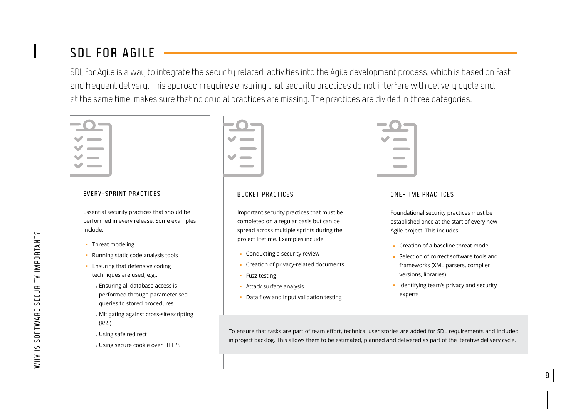## <span id="page-7-0"></span>SDL FOR AGILE

SDL for Agile is a way to integrate the security related activities into the Agile development process, which is based on fast and frequent delivery. This approach requires ensuring that security practices do not interfere with delivery cycle and, at the same time, makes sure that no crucial practices are missing. The practices are divided in three categories:

| EVERY-SPRINT PRACTICES                                                                                                                                                                                                                                                                                                                                                                 | <b>BUCKET PRACTICES</b>                                                                                                                                                                                                                                                                                                                          | <b>ONE-TIME PRACTICES</b>                                                                                                                                                                                                                                                                                                     |
|----------------------------------------------------------------------------------------------------------------------------------------------------------------------------------------------------------------------------------------------------------------------------------------------------------------------------------------------------------------------------------------|--------------------------------------------------------------------------------------------------------------------------------------------------------------------------------------------------------------------------------------------------------------------------------------------------------------------------------------------------|-------------------------------------------------------------------------------------------------------------------------------------------------------------------------------------------------------------------------------------------------------------------------------------------------------------------------------|
| Essential security practices that should be<br>performed in every release. Some examples<br>include:<br>Threat modeling<br>٠.<br>Running static code analysis tools<br>Ensuring that defensive coding<br>techniques are used, e.g.:<br>- Ensuring all database access is<br>performed through parameterised<br>queries to stored procedures<br>Mitigating against cross-site scripting | Important security practices that must be<br>completed on a regular basis but can be<br>spread across multiple sprints during the<br>project lifetime. Examples include:<br>• Conducting a security review<br>• Creation of privacy-related documents<br>• Fuzz testing<br>- Attack surface analysis<br>• Data flow and input validation testing | Foundational security practices must be<br>established once at the start of every new<br>Agile project. This includes:<br>• Creation of a baseline threat model<br>Selection of correct software tools and<br>frameworks (XML parsers, compiler<br>versions, libraries)<br>Identifying team's privacy and security<br>experts |
| (XSS)<br>- Using safe redirect<br>- Using secure cookie over HTTPS                                                                                                                                                                                                                                                                                                                     |                                                                                                                                                                                                                                                                                                                                                  | To ensure that tasks are part of team effort, technical user stories are added for SDL requirements and included<br>in project backlog. This allows them to be estimated, planned and delivered as part of the iterative delivery cycle.                                                                                      |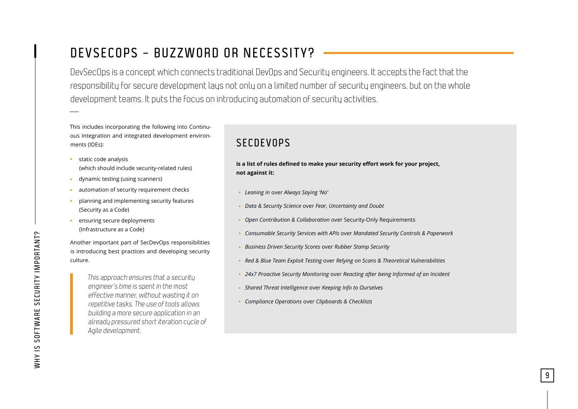## <span id="page-8-0"></span>DEVSECOPS – BUZZWORD OR NECESSITY?

DevSecOps is a concept which connects traditional DevOps and Security engineers. It accepts the fact that the responsibility for secure development lays not only on a limited number of security engineers, but on the whole development teams. It puts the focus on introducing automation of security activities.

This includes incorporating the following into Continuous Integration and integrated development environments (IDEs):

- $B<sub>1</sub>$  static code analysis (which should include security-related rules)
- dynamic testing (using scanners)
- automation of security requirement checks
- planning and implementing security features (Security as a Code)
- **EXECUTE SECUTE DEPARTMENTS** (Infrastructure as a Code)

Another important part of SecDevOps responsibilities is introducing best practices and developing security culture.

> This approach ensures that a security engineer's time is spent in the most effective manner, without wasting it on repetitive tasks. The use of tools allows building a more secure application in an already pressured short iteration cycle of Agile development.

### SECDEVOPS

**is a list of rules defined to make your security effort work for your project, not against it:**

- u *Leaning in* over *Always Saying 'No'*
- u *Data & Security Science* over *Fear, Uncertainty and Doubt*
- u *Open Contribution & Collaboration* over Security-Only Requirements
- u *Consumable Security Services with APIs* over *Mandated Security Controls & Paperwork*
- **Business Driven Security Scores over Rubber Stamp Security**
- u *Red & Blue Team Exploit Testing* over *Relying on Scans & Theoretical Vulnerabilities*
- <sup>1</sup> 24x7 Proactive Security Monitoring over Reacting after being Informed of an Incident

- u *Shared Threat Intelligence* over *Keeping Info to Ourselves*
- u *Compliance Operations* over *Clipboards & Checklists*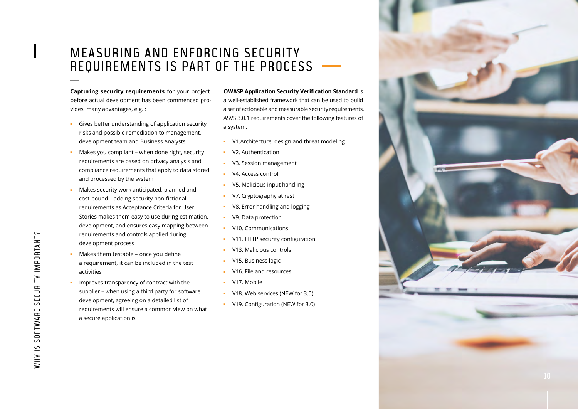### <span id="page-9-0"></span>MEASURING AND ENFORCING SECURITY REQUIREMENTS IS PART OF THE PROCESS

**Capturing security requirements** for your project before actual development has been commenced provides many advantages, e.g. :

- Gives better understanding of application security risks and possible remediation to management, development team and Business Analysts
- Makes you compliant when done right, security requirements are based on privacy analysis and compliance requirements that apply to data stored and processed by the system
- Makes security work anticipated, planned and cost-bound – adding security non-fictional requirements as Acceptance Criteria for User Stories makes them easy to use during estimation, development, and ensures easy mapping between requirements and controls applied during development process
- Makes them testable once you define a requirement, it can be included in the test activities
- Improves transparency of contract with the supplier – when using a third party for software development, agreeing on a detailed list of requirements will ensure a common view on what a secure application is

#### **OWASP Application Security Verification Standard** is

a well-established framework that can be used to build a set of actionable and measurable security requirements. ASVS 3.0.1 requirements cover the following features of a system:

- u V1.Architecture, design and threat modeling
- V2. Authentication
- **v** V3. Session management
- V4. Access control
- V5. Malicious input handling
- V7. Cryptography at rest
- v8. Error handling and logging
- v9. Data protection
- **v** V10. Communications
- V11. HTTP security configuration
- V13. Malicious controls
- V15. Business logic
- u V16. File and resources
- $V17.$  Mobile
- v V18. Web services (NEW for 3.0)
- v V19. Configuration (NEW for 3.0)

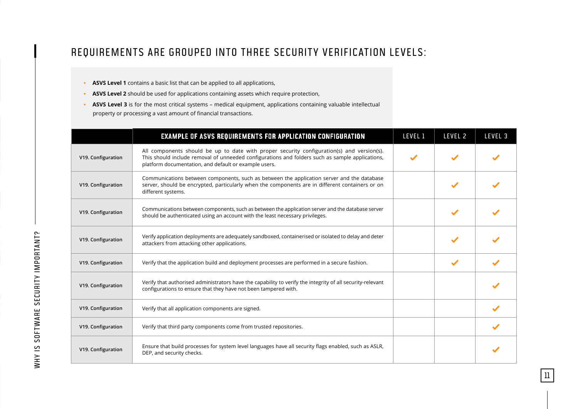### REQUIREMENTS ARE GROUPED INTO THREE SECURITY VERIFICATION LEVELS:

- **ASVS Level 1** contains a basic list that can be applied to all applications,
- **ASVS Level 2** should be used for applications containing assets which require protection,
- **ASVS Level 3** is for the most critical systems medical equipment, applications containing valuable intellectual property or processing a vast amount of financial transactions.

|                    | EXAMPLE OF ASVS REQUIREMENTS FOR APPLICATION CONFIGURATION                                                                                                                                                                                            | LEVEL 1 | LEVEL 2      | LEVEL 3 |
|--------------------|-------------------------------------------------------------------------------------------------------------------------------------------------------------------------------------------------------------------------------------------------------|---------|--------------|---------|
| V19. Configuration | All components should be up to date with proper security configuration(s) and version(s).<br>This should include removal of unneeded configurations and folders such as sample applications,<br>platform documentation, and default or example users. |         |              |         |
| V19. Configuration | Communications between components, such as between the application server and the database<br>server, should be encrypted, particularly when the components are in different containers or on<br>different systems.                                   |         |              |         |
| V19. Configuration | Communications between components, such as between the application server and the database server<br>should be authenticated using an account with the least necessary privileges.                                                                    |         |              |         |
| V19. Configuration | Verify application deployments are adequately sandboxed, containerised or isolated to delay and deter<br>attackers from attacking other applications.                                                                                                 |         |              |         |
| V19. Configuration | Verify that the application build and deployment processes are performed in a secure fashion.                                                                                                                                                         |         | $\checkmark$ |         |
| V19. Configuration | Verify that authorised administrators have the capability to verify the integrity of all security-relevant<br>configurations to ensure that they have not been tampered with.                                                                         |         |              |         |
| V19. Configuration | Verify that all application components are signed.                                                                                                                                                                                                    |         |              |         |
| V19. Configuration | Verify that third party components come from trusted repositories.                                                                                                                                                                                    |         |              |         |
| V19. Configuration | Ensure that build processes for system level languages have all security flags enabled, such as ASLR,<br>DEP, and security checks.                                                                                                                    |         |              |         |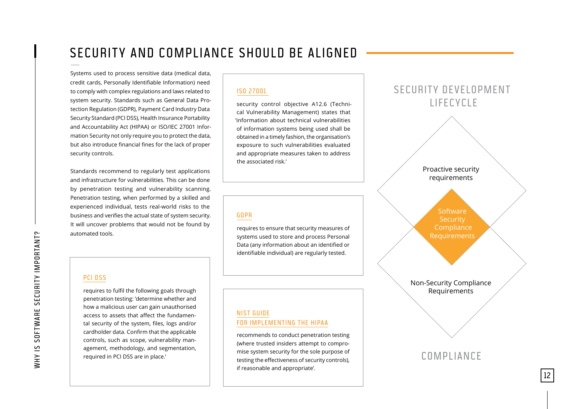## <span id="page-11-0"></span>SECURITY AND COMPLIANCE SHOULD BE ALIGNED

Systems used to process sensitive data (medical data, credit cards, Personally Identifiable Information) need to comply with complex regulations and laws related to system security. Standards such as General Data Protection Regulation (GDPR), Payment Card Industry Data Security Standard (PCI DSS), Health Insurance Portability and Accountability Act (HIPAA) or ISO/IEC 27001 Information Security not only require you to protect the data, but also introduce financial fines for the lack of proper security controls.

Standards recommend to regularly test applications and infrastructure for vulnerabilities. This can be done by penetration testing and vulnerability scanning. Penetration testing, when performed by a skilled and experienced individual, tests real-world risks to the business and verifies the actual state of system security. It will uncover problems that would not be found by automated tools.

#### **ISO 27001**

security control objective A12.6 (Technical Vulnerability Management) states that 'information about technical vulnerabilities of information systems being used shall be obtained in a timely fashion, the organisation's exposure to such vulnerabilities evaluated and appropriate measures taken to address the associated risk.'

#### [GDPR](https://www.eugdpr.org/)

requires to ensure that security measures of systems used to store and process Personal Data (any information about an identified or identifiable individual) are regularly tested.



#### [PCI DSS](https://www.pcisecuritystandards.org/pci_security/)

requires to fulfil the following goals through penetration testing: 'determine whether and how a malicious user can gain unauthorised access to assets that affect the fundamental security of the system, files, logs and/or cardholder data. Confirm that the applicable controls, such as scope, vulnerability management, methodology, and segmentation, required in PCI DSS are in place.'

#### [NIST GUIDE](https://csrc.nist.gov/publications/detail/sp/800-66/rev-1/final) [FOR IMPLEMENTING THE HIPAA](https://csrc.nist.gov/publications/detail/sp/800-66/rev-1/final)

recommends to conduct penetration testing (where trusted insiders attempt to compromise system security for the sole purpose of testing the effectiveness of security controls), if reasonable and appropriate'.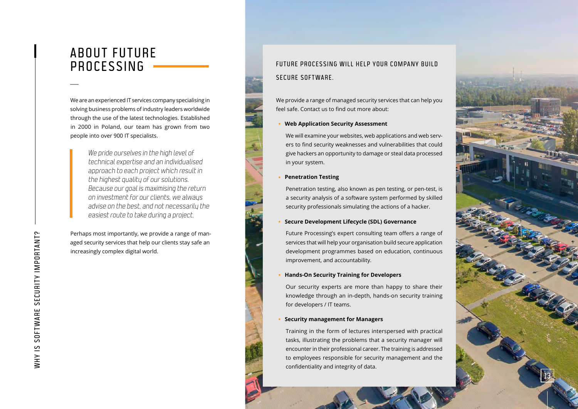### <span id="page-12-0"></span>A BOUT FUTURE PROCESSING

We are an experienced IT services company specialising in solving business problems of industry leaders worldwide through the use of the latest technologies. Established in 2000 in Poland, our team has grown from two people into over 900 IT specialists.

> We pride ourselves in the high level of technical expertise and an individualised approach to each project which result in the highest quality of our solutions. Because our goal is maximising the return on investment for our clients, we always advise on the best, and not necessarily the easiest route to take during a project.

Perhaps most importantly, we provide a range of managed security services that help our clients stay safe an increasingly complex digital world.

# SECURE SOFTWARE

We provide a range of managed security services that can help you feel safe. Contact us to find out more about:

#### u **Web Application Security Assessment**

We will examine your websites, web applications and web servers to find security weaknesses and vulnerabilities that could give hackers an opportunity to damage or steal data processed in your system.

#### **Penetration Testing**

Penetration testing, also known as pen testing, or pen-test, is a security analysis of a software system performed by skilled security professionals simulating the actions of a hacker.

#### **Secure Development Lifecycle (SDL) Governance**

Future Processing's expert consulting team offers a range of services that will help your organisation build secure application development programmes based on education, continuous improvement, and accountability.

#### u **Hands-On Security Training for Developers**

Our security experts are more than happy to share their knowledge through an in-depth, hands-on security training for developers / IT teams.

#### **Security management for Managers**

FUTURE PROCESSING WILL HELP YOUR COMPANY BUILD<br>
SECURE SOFTWARE.<br>
We provide a range of managed security services that can help you<br>
we will examine your vredsites, web applications and web services<br>
or to the decrity mana Training in the form of lectures interspersed with practical tasks, illustrating the problems that a security manager will encounter in their professional career. The training is addressed to employees responsible for security management and the confidentiality and integrity of data.